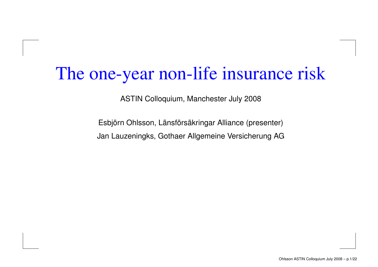## The one-year non-life insurance risk

ASTIN Colloquium, Manchester July 2008

Esbjörn Ohlsson, Länsförsäkringar Alliance (presenter) Jan Lauzeningks, Gothaer Allgemeine Versicherung AG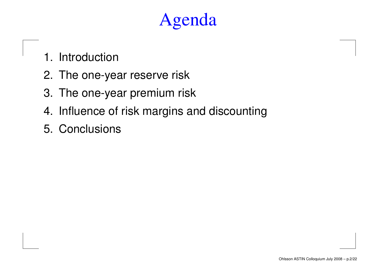- 1. Introduction
- 2. The one-year reserve risk
- 3. The one-year premium risk
- 4. Influence of risk margins and discounting
- 5. Conclusions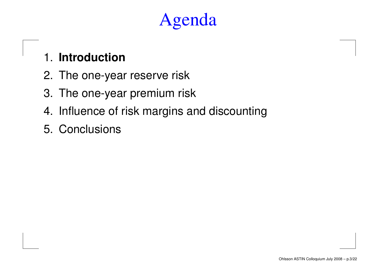#### 1. **Introduction**

- 2. The one-year reserve risk
- 3. The one-year premium risk
- 4. Influence of risk margins and discounting
- 5. Conclusions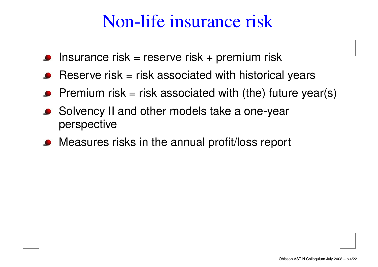## Non-life insurance risk

- Insurance risk <sup>=</sup> reserve risk <sup>+</sup> premium risk
- Reserve risk = risk associated with historical years
- Premium risk = risk associated with (the) future year(s)
- Solvency II and other models take a one-year perspective
- Measures risks in the annual profit/loss report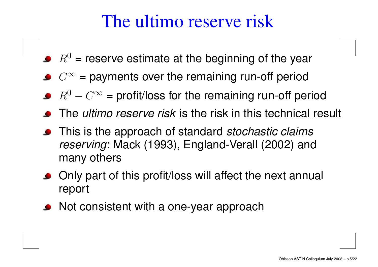## The ultimo reserve risk

- $R^0$  = reserve estimate at the beginning of the year
- $C^{\infty}$  = payments over the remaining run-off period
- $R^0 C^\infty$  = profit/loss for the remaining run-off period
- The *ultimo reserve risk* is the risk in this technical result
- This is the approach of standard *stochastic claims* reserving: Mack (1993), England-Verall (2002) and many others
- Only part of this profit/loss will affect the next annual report
- **•** Not consistent with a one-year approach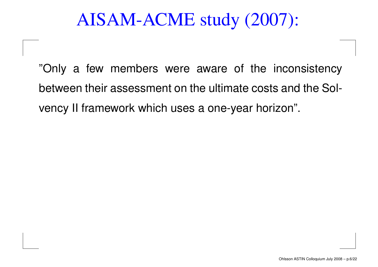## AISAM-ACME study (2007):

"Only <sup>a</sup> few members were aware of the inconsistency between their assessment on the ultimate costs and the Solvency II framework which uses <sup>a</sup> one-year horizon".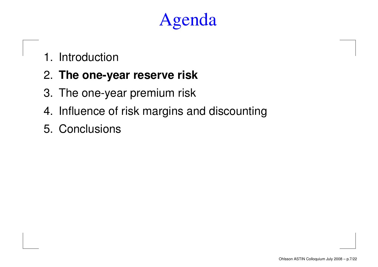1. Introduction

#### 2. **The one-year reserve risk**

- 3. The one-year premium risk
- 4. Influence of risk margins and discounting
- 5. Conclusions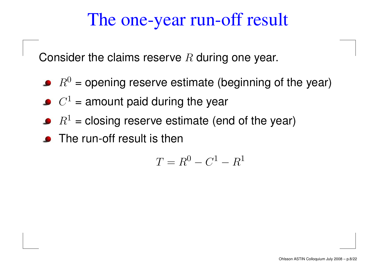## The one-year run-off result

Consider the claims reserve  $R$  during one year.

- $R^{0}$  = opening reserve estimate (beginning of the year)
- $C^1$  = amount paid during the year
- $R^1$  = closing reserve estimate (end of the year)
- The run-off result is then

$$
T = R^0 - C^1 - R^1
$$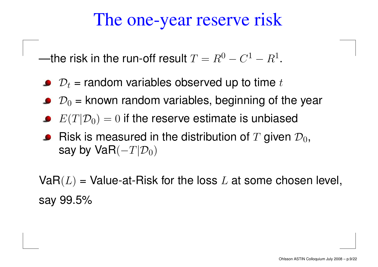## The one-year reserve risk

—the risk in the run-off result  $T=R^0-C^1-R^1.$ 

- $\mathcal{D}_t$  = random variables observed up to time  $t$
- $\mathcal{D}_0$  = known random variables, beginning of the year
- $E(T|\mathcal{D}_0) = 0$  if the reserve estimate is unbiased
- Risk is measured in the distribution of  $T$  given  $\mathcal{D}_0,$ say by VaR $(-T|\mathcal{D}_0)$

 $VaR(L)$  = Value-at-Risk for the loss L at some chosen level, say 99.5%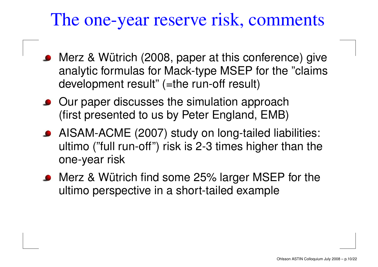#### The one-year reserve risk, comments

- Merz & Wütrich (2008, paper at this conference) give analytic formulas for Mack-type MSEP for the "claims development result" (=the run-off result)
- Our paper discusses the simulation approach (first presented to us by Peter England, EMB)
- AISAM-ACME (2007) study on long-tailed liabilities: ultimo ("full run-off") risk is 2-3 times higher than the one-year risk
- Merz & Wütrich find some 25% larger MSEP for the ultimo perspective in <sup>a</sup> short-tailed example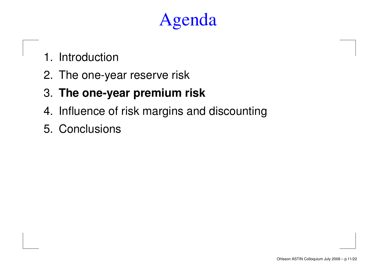- 1. Introduction
- 2. The one-year reserve risk
- 3. **The one-year premium risk**
- 4. Influence of risk margins and discounting
- 5. Conclusions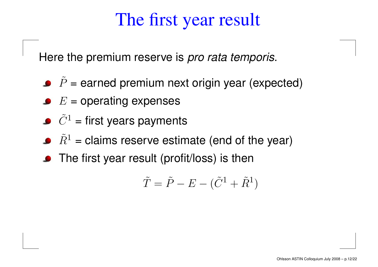## The first year result

Here the premium reserve is *pro rata temporis*.

- $\,P$ ˜ == earned premium next origin year (expected)
- $E =$  operating expenses
- $C \$  $\tilde{\gamma}1$   $=$ = first years payments
- $\,R$  $\tilde\varOmega^1$   $=$  $=$  claims reserve estimate (end of the year)  $\,$
- The first year result (profit/loss) is then

$$
\tilde{T} = \tilde{P} - E - (\tilde{C}^1 + \tilde{R}^1)
$$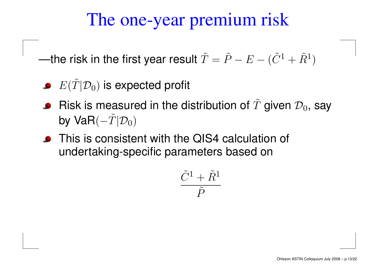## The one-year premium risk

—the risk in the first year result  $\tilde{T}$  $\tilde{\mathnormal{\Gamma}} = \tilde{P}$  − $E-(\tilde{C}^1+\tilde{R}^1)$ 

- $E(\tilde T$  $|\mathcal{D}_0)$  is expected profit
- Risk is measured in the distribution of  $T$ ˜given  $\mathcal{D}_0$ , say by Va $\mathsf{R}(-\tilde{T})$  $|\mathcal{D}_0)$
- **•** This is consistent with the QIS4 calculation of undertaking-specific parameters based on

$$
\frac{\tilde{C}^1+\tilde{R}^1}{\tilde{P}}
$$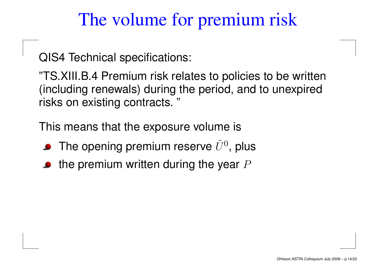## The volume for premium risk

QIS4 Technical specifications:

"TS.XIII.B.4 Premium risk relates to policies to be written (including renewals) during the period, and to unexpired risks on existing contracts. "

This means that the exposure volume is

- The opening premium reserve  $\tilde{U}^0$ , plus
- the premium written during the year  $P$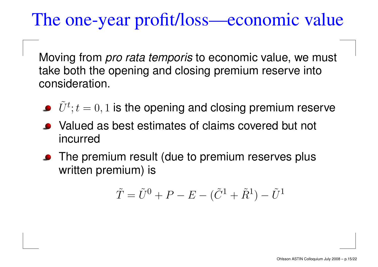## The one-year profit/loss—economic value

Moving from *pro rata temporis* to economic value, we must take both the opening and closing premium reserve into consideration.

- $\tilde{U}^{t};t=0,1$  is the opening and closing premium reserve
- Valued as best estimates of claims covered but not incurred
- **•** The premium result (due to premium reserves plus written premium) is

$$
\tilde{T} = \tilde{U}^0 + P - E - (\tilde{C}^1 + \tilde{R}^1) - \tilde{U}^1
$$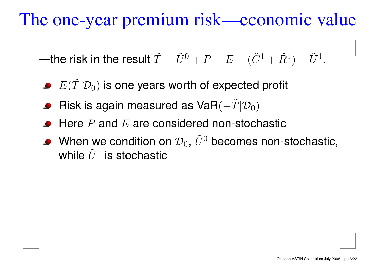The one-year premium risk—economic value

—the risk in the result  $T$ ˜ $\tilde{T}=\tilde{U}^0+P-E-(\tilde{C}^1+\tilde{R}^1)-\tilde{U}^1.$ 

- $E(\tilde T$  $|\mathcal{D}_0)$  is one years worth of expected profit
- Risk is again measured as VaR $(-\tilde{T})$  $|\mathcal{D}_0)$
- Here  $P$  and  $E$  are considered non-stochastic
- When we condition on  $\mathcal{D}_0$ ,  $\tilde{U}^0$  becomes non-stochastic, while  $\tilde{U}^1$  is stochastic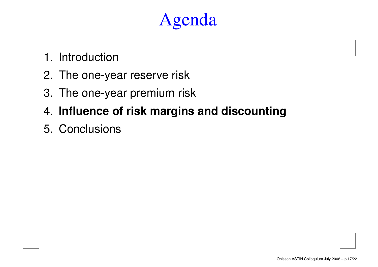- 1. Introduction
- 2. The one-year reserve risk
- 3. The one-year premium risk
- 4. **Influence of risk margins and discounting**
- 5. Conclusions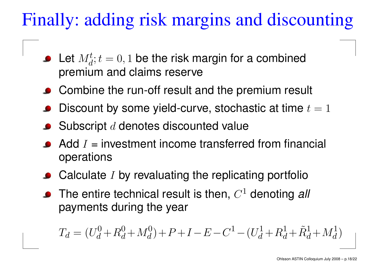## Finally: adding risk margins and discounting

- Let  $M_d^t$ ;  $t = 0, 1$  be the risk margin for a combined premium and claims reserve
- Combine the run-off result and the premium result
- Discount by some yield-curve, stochastic at time  $t = 1$
- $\bullet$  Subscript  $d$  denotes discounted value
- Add  $I$  = investment income transferred from financial operations
- $\bullet$  Calculate I by revaluating the replicating portfolio
- The entire technical result is then,  $C<sup>1</sup>$  denoting all payments during the year

$$
T_d = (U_d^0 + R_d^0 + M_d^0) + P + I - E - C^1 - (U_d^1 + R_d^1 + \tilde{R}_d^1 + M_d^1)
$$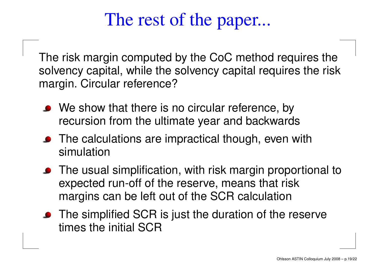## The rest of the paper...

The risk margin computed by the CoC method requires the solvency capital, while the solvency capital requires the risk margin. Circular reference?

- We show that there is no circular reference, by recursion from the ultimate year and backwards
- The calculations are impractical though, even with simulation
- The usual simplification, with risk margin proportional to expected run-off of the reserve, means that risk margins can be left out of the SCR calculation
- The simplified SCR is just the duration of the reserve times the initial SCR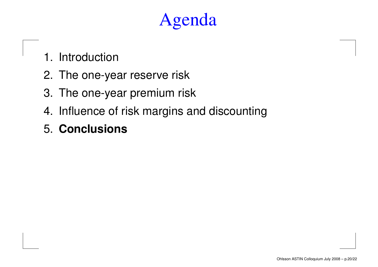- 1. Introduction
- 2. The one-year reserve risk
- 3. The one-year premium risk
- 4. Influence of risk margins and discounting
- 5. **Conclusions**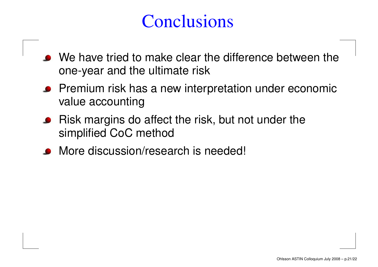## **Conclusions**

- We have tried to make clear the difference between the one-year and the ultimate risk
- Premium risk has <sup>a</sup> new interpretation under economic value accounting
- Risk margins do affect the risk, but not under the simplified CoC method
- More discussion/research is needed!